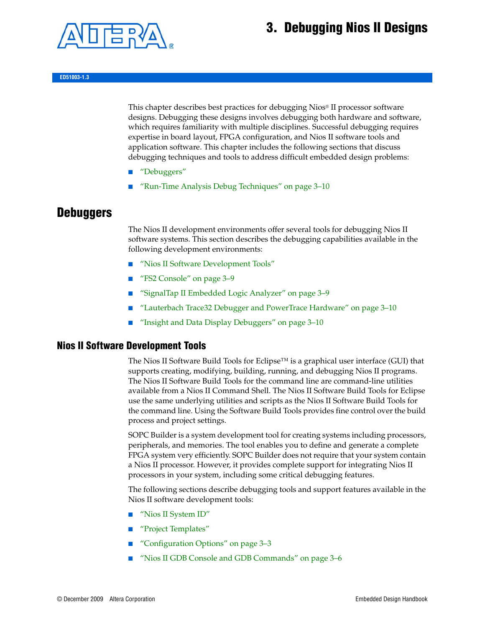# **3. Debugging Nios II Designs**



#### **ED51003-1.3**

This chapter describes best practices for debugging Nios® II processor software designs. Debugging these designs involves debugging both hardware and software, which requires familiarity with multiple disciplines. Successful debugging requires expertise in board layout, FPGA configuration, and Nios II software tools and application software. This chapter includes the following sections that discuss debugging techniques and tools to address difficult embedded design problems:

- ["Debuggers"](#page-0-0)
- ["Run-Time Analysis Debug Techniques" on page 3–10](#page-9-0)

## <span id="page-0-0"></span>**Debuggers**

The Nios II development environments offer several tools for debugging Nios II software systems. This section describes the debugging capabilities available in the following development environments:

- ["Nios II Software Development Tools"](#page-0-1)
- ["FS2 Console" on page 3–9](#page-8-0)
- ["SignalTap II Embedded Logic Analyzer" on page 3–9](#page-8-1)
- "Lauterbach Trace32 Debugger and PowerTrace Hardware" on page 3-10
- ["Insight and Data Display Debuggers" on page 3–10](#page-9-2)

### <span id="page-0-1"></span>**Nios II Software Development Tools**

The Nios II Software Build Tools for Eclipse<sup>™</sup> is a graphical user interface (GUI) that supports creating, modifying, building, running, and debugging Nios II programs. The Nios II Software Build Tools for the command line are command-line utilities available from a Nios II Command Shell. The Nios II Software Build Tools for Eclipse use the same underlying utilities and scripts as the Nios II Software Build Tools for the command line. Using the Software Build Tools provides fine control over the build process and project settings.

SOPC Builder is a system development tool for creating systems including processors, peripherals, and memories. The tool enables you to define and generate a complete FPGA system very efficiently. SOPC Builder does not require that your system contain a Nios II processor. However, it provides complete support for integrating Nios II processors in your system, including some critical debugging features.

The following sections describe debugging tools and support features available in the Nios II software development tools:

- ["Nios II System ID"](#page-1-0)
- ["Project Templates"](#page-1-1)
- ["Configuration Options" on page 3–3](#page-2-0)
- ["Nios II GDB Console and GDB Commands" on page 3–6](#page-5-0)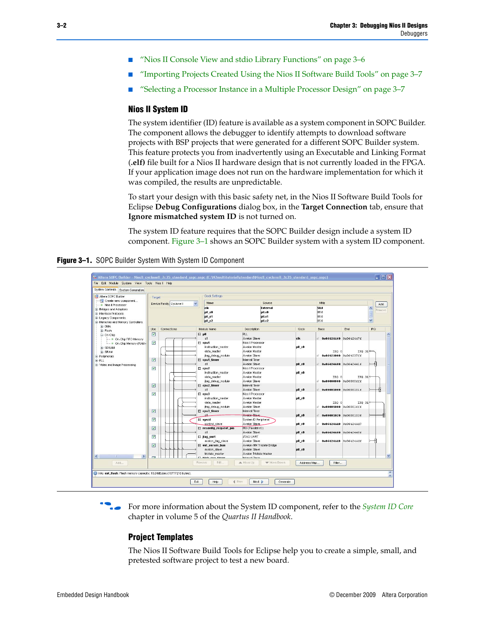- ["Nios II Console View and stdio Library Functions" on page 3–6](#page-5-1)
- ["Importing Projects Created Using the Nios II Software Build Tools" on page 3–7](#page-6-0)
- ["Selecting a Processor Instance in a Multiple Processor Design" on page 3–7](#page-6-1)

#### <span id="page-1-0"></span>**Nios II System ID**

The system identifier (ID) feature is available as a system component in SOPC Builder. The component allows the debugger to identify attempts to download software projects with BSP projects that were generated for a different SOPC Builder system. This feature protects you from inadvertently using an Executable and Linking Format (**.elf)** file built for a Nios II hardware design that is not currently loaded in the FPGA. If your application image does not run on the hardware implementation for which it was compiled, the results are unpredictable.

To start your design with this basic safety net, in the Nios II Software Build Tools for Eclipse **Debug Configurations** dialog box, in the **Target Connection** tab, ensure that **Ignore mismatched system ID** is not turned on.

The system ID feature requires that the SOPC Builder design include a system ID component. [Figure 3–1](#page-1-2) shows an SOPC Builder system with a system ID component.

<span id="page-1-2"></span>



f For more information about the System ID component, refer to the *[System ID Core](http://www.altera.com/literature/hb/nios2/n2cpu_nii51014.pdf)* chapter in volume 5 of the *Quartus II Handbook*.

#### <span id="page-1-1"></span>**Project Templates**

The Nios II Software Build Tools for Eclipse help you to create a simple, small, and pretested software project to test a new board.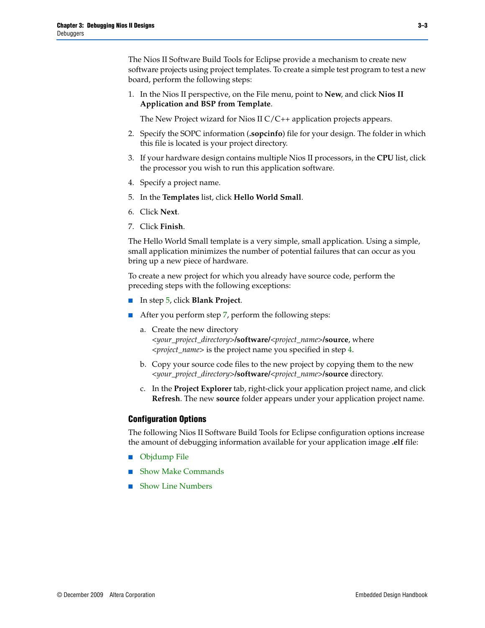The Nios II Software Build Tools for Eclipse provide a mechanism to create new software projects using project templates. To create a simple test program to test a new board, perform the following steps:

1. In the Nios II perspective, on the File menu, point to **New**, and click **Nios II Application and BSP from Template**.

The New Project wizard for Nios II C/C++ application projects appears.

- 2. Specify the SOPC information (**.sopcinfo**) file for your design. The folder in which this file is located is your project directory.
- 3. If your hardware design contains multiple Nios II processors, in the **CPU** list, click the processor you wish to run this application software.
- <span id="page-2-1"></span>4. Specify a project name.
- <span id="page-2-2"></span>5. In the **Templates** list, click **Hello World Small**.
- 6. Click **Next**.
- <span id="page-2-3"></span>7. Click **Finish**.

The Hello World Small template is a very simple, small application. Using a simple, small application minimizes the number of potential failures that can occur as you bring up a new piece of hardware.

To create a new project for which you already have source code, perform the preceding steps with the following exceptions:

- In step [5](#page-2-2), click **Blank Project**.
- After you perform step [7,](#page-2-3) perform the following steps:
	- a. Create the new directory <*your\_project\_directory*>**/software/**<*project\_name*>**/source**, where <*project\_name*> is the project name you specified in step [4.](#page-2-1)
	- b. Copy your source code files to the new project by copying them to the new <*your\_project\_directory*>**/software/**<*project\_name*>**/source** directory.
	- c. In the **Project Explorer** tab, right-click your application project name, and click **Refresh**. The new **source** folder appears under your application project name.

#### <span id="page-2-0"></span>**Configuration Options**

The following Nios II Software Build Tools for Eclipse configuration options increase the amount of debugging information available for your application image **.elf** file:

- [Objdump File](#page-3-0)
- [Show Make Commands](#page-4-0)
- **[Show Line Numbers](#page-4-1)**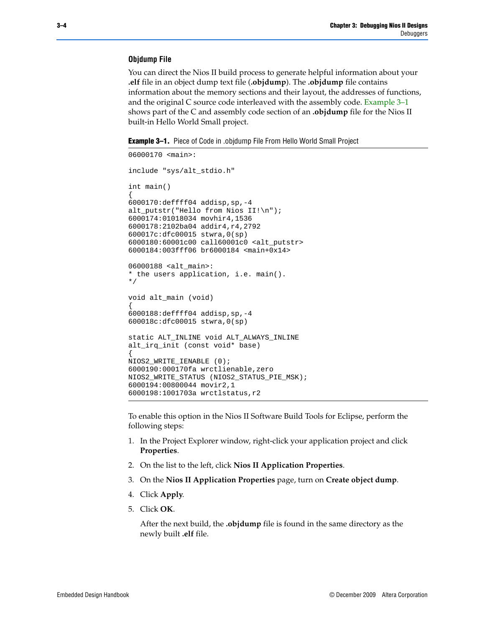#### <span id="page-3-0"></span>**Objdump File**

You can direct the Nios II build process to generate helpful information about your **.elf** file in an object dump text file (**.objdump**). The **.objdump** file contains information about the memory sections and their layout, the addresses of functions, and the original C source code interleaved with the assembly code. [Example 3–1](#page-3-1) shows part of the C and assembly code section of an **.objdump** file for the Nios II built-in Hello World Small project.

<span id="page-3-1"></span>**Example 3–1.** Piece of Code in .objdump File From Hello World Small Project

```
06000170 <main>:
include "sys/alt_stdio.h"
int main()
{ 
6000170:defff04 addisp, sp,-4alt_putstr("Hello from Nios II!\n");
6000174:01018034 movhir4,1536
6000178:2102ba04 addir4,r4,2792
600017c:dfc00015 stwra,0(sp)
6000180:60001c00 call60001c0 <alt_putstr>
6000184:003fff06 br6000184 <main+0x14>
06000188 <alt_main>:
* the users application, i.e. main().
*/
void alt_main (void)
{
6000188:deffff04 addisp,sp,-4
600018c:dfc00015 stwra,0(sp)
static ALT_INLINE void ALT_ALWAYS_INLINE 
alt_irq_init (const void* base)
{
NIOS2_WRITE_IENABLE (0);
6000190:000170fa wrctlienable,zero
NIOS2 WRITE_STATUS (NIOS2_STATUS_PIE_MSK);
6000194:00800044 movir2,1
6000198:1001703a wrctlstatus,r2
```
To enable this option in the Nios II Software Build Tools for Eclipse, perform the following steps:

- 1. In the Project Explorer window, right-click your application project and click **Properties**.
- 2. On the list to the left, click **Nios II Application Properties**.
- 3. On the **Nios II Application Properties** page, turn on **Create object dump**.
- 4. Click **Apply**.
- 5. Click **OK**.

After the next build, the **.objdump** file is found in the same directory as the newly built **.elf** file.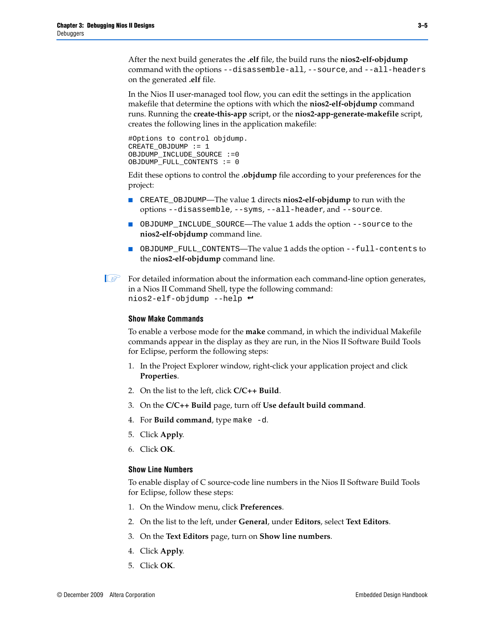After the next build generates the **.elf** file, the build runs the **nios2-elf-objdump** command with the options --disassemble-all, --source, and --all-headers on the generated **.elf** file.

In the Nios II user-managed tool flow, you can edit the settings in the application makefile that determine the options with which the **nios2-elf-objdump** command runs. Running the **create-this-app** script, or the **nios2-app-generate-makefile** script, creates the following lines in the application makefile:

#Options to control objdump. CREATE\_OBJDUMP := 1 OBJDUMP\_INCLUDE\_SOURCE :=0 OBJDUMP\_FULL\_CONTENTS := 0

Edit these options to control the **.objdump** file according to your preferences for the project:

- CREATE\_OBJDUMP—The value 1 directs **nios2-elf-objdump** to run with the options --disassemble, --syms, --all-header, and --source.
- OBJDUMP\_INCLUDE\_SOURCE—The value 1 adds the option --source to the **nios2-elf-objdump** command line.
- OBJDUMP\_FULL\_CONTENTS—The value 1 adds the option --full-contents to the **nios2-elf-objdump** command line.
- $\mathbb{I}$  For detailed information about the information each command-line option generates, in a Nios II Command Shell, type the following command: nios2-elf-objdump --help ←

#### <span id="page-4-0"></span>**Show Make Commands**

To enable a verbose mode for the **make** command, in which the individual Makefile commands appear in the display as they are run, in the Nios II Software Build Tools for Eclipse, perform the following steps:

- 1. In the Project Explorer window, right-click your application project and click **Properties**.
- 2. On the list to the left, click **C/C++ Build**.
- 3. On the **C/C++ Build** page, turn off **Use default build command**.
- 4. For **Build command**, type make -d.
- 5. Click **Apply**.
- 6. Click **OK**.

#### <span id="page-4-1"></span>**Show Line Numbers**

To enable display of C source-code line numbers in the Nios II Software Build Tools for Eclipse, follow these steps:

- 1. On the Window menu, click **Preferences**.
- 2. On the list to the left, under **General**, under **Editors**, select **Text Editors**.
- 3. On the **Text Editors** page, turn on **Show line numbers**.
- 4. Click **Apply**.
- 5. Click **OK**.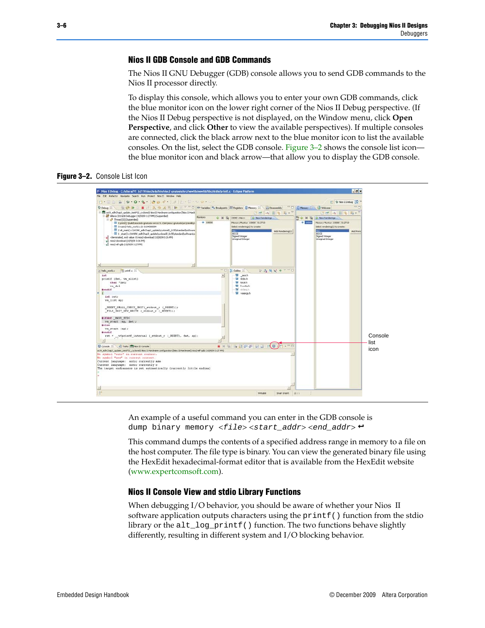#### <span id="page-5-0"></span>**Nios II GDB Console and GDB Commands**

The Nios II GNU Debugger (GDB) console allows you to send GDB commands to the Nios II processor directly.

To display this console, which allows you to enter your own GDB commands, click the blue monitor icon on the lower right corner of the Nios II Debug perspective. (If the Nios II Debug perspective is not displayed, on the Window menu, click **Open Perspective**, and click **Other** to view the available perspectives). If multiple consoles are connected, click the black arrow next to the blue monitor icon to list the available consoles. On the list, select the GDB console. [Figure 3–2](#page-5-2) shows the console list icon the blue monitor icon and black arrow—that allow you to display the GDB console.

<span id="page-5-2"></span>



An example of a useful command you can enter in the GDB console is dump binary memory <*file*> <*start\_addr*> <*end\_addr*> r

This command dumps the contents of a specified address range in memory to a file on the host computer. The file type is binary. You can view the generated binary file using the HexEdit hexadecimal-format editor that is available from the HexEdit website [\(www.expertcomsoft.com](http://www.expertcomsoft.com)).

#### <span id="page-5-1"></span>**Nios II Console View and stdio Library Functions**

When debugging I/O behavior, you should be aware of whether your Nios II software application outputs characters using the  $print()$  function from the stdio library or the  $alt\_log\_printf()$  function. The two functions behave slightly differently, resulting in different system and I/O blocking behavior.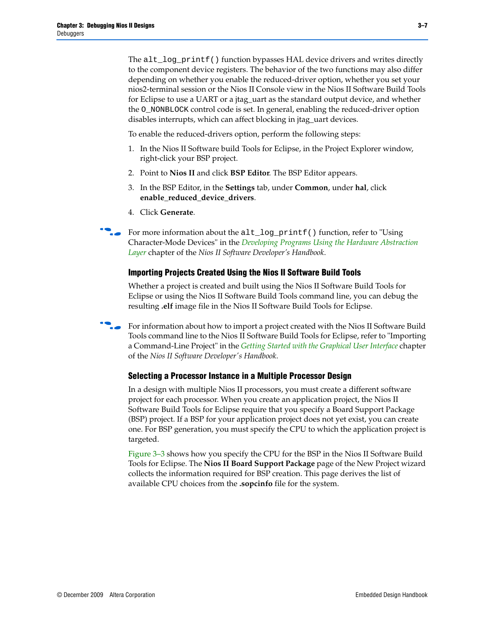The alt\_log\_printf() function bypasses HAL device drivers and writes directly to the component device registers. The behavior of the two functions may also differ depending on whether you enable the reduced-driver option, whether you set your nios2-terminal session or the Nios II Console view in the Nios II Software Build Tools for Eclipse to use a UART or a jtag\_uart as the standard output device, and whether the O\_NONBLOCK control code is set. In general, enabling the reduced-driver option disables interrupts, which can affect blocking in jtag\_uart devices.

To enable the reduced-drivers option, perform the following steps:

- 1. In the Nios II Software build Tools for Eclipse, in the Project Explorer window, right-click your BSP project.
- 2. Point to **Nios II** and click **BSP Editor**. The BSP Editor appears.
- 3. In the BSP Editor, in the **Settings** tab, under **Common**, under **hal**, click **enable\_reduced\_device\_drivers**.
- 4. Click **Generate**.

For more information about the  $alt\_log\_printf()$  function, refer to "Using Character-Mode Devices" in the *[Developing Programs Using the Hardware Abstraction](http://www.altera.com/literature/hb/nios2/n2sw_nii52004.pdf)  [Layer](http://www.altera.com/literature/hb/nios2/n2sw_nii52004.pdf)* chapter of the *Nios II Software Developer's Handbook*.

#### <span id="page-6-0"></span>**Importing Projects Created Using the Nios II Software Build Tools**

Whether a project is created and built using the Nios II Software Build Tools for Eclipse or using the Nios II Software Build Tools command line, you can debug the resulting **.elf** image file in the Nios II Software Build Tools for Eclipse.

For information about how to import a project created with the Nios II Software Build Tools command line to the Nios II Software Build Tools for Eclipse, refer to "Importing a Command-Line Project" in the *[Getting Started with the Graphical User Interface](http://www.altera.com/literature/hb/nios2/n2sw_nii52017.pdf)* chapter of the *Nios II Software Developer's Handbook*.

#### <span id="page-6-1"></span>**Selecting a Processor Instance in a Multiple Processor Design**

In a design with multiple Nios II processors, you must create a different software project for each processor. When you create an application project, the Nios II Software Build Tools for Eclipse require that you specify a Board Support Package (BSP) project. If a BSP for your application project does not yet exist, you can create one. For BSP generation, you must specify the CPU to which the application project is targeted.

[Figure 3–3](#page-7-0) shows how you specify the CPU for the BSP in the Nios II Software Build Tools for Eclipse. The **Nios II Board Support Package** page of the New Project wizard collects the information required for BSP creation. This page derives the list of available CPU choices from the **.sopcinfo** file for the system.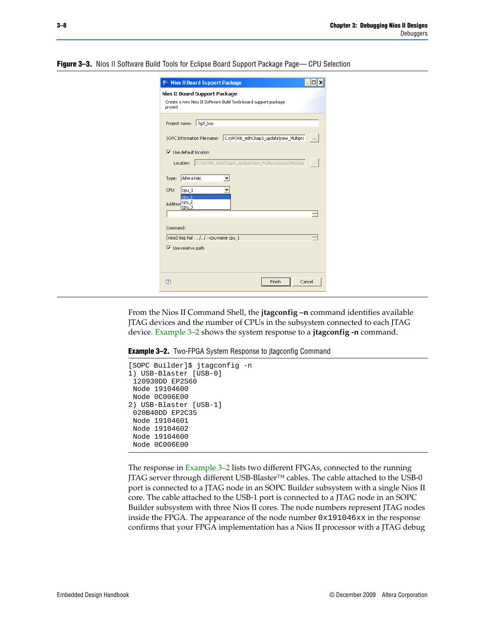| project                               | Create a new Nios II Software Build Tools board support package  |          |
|---------------------------------------|------------------------------------------------------------------|----------|
|                                       |                                                                  |          |
| fig3_bsp<br>Project name:             |                                                                  |          |
|                                       | SOPC Information File name: C:\WORK_edhChap3_update\new_Multipro |          |
|                                       |                                                                  | $\cdots$ |
| $\nabla$ Use default location         |                                                                  |          |
|                                       | Location: C:\WORK edhChap3 update\new Multiprocessor\Modular     | $\sim$   |
|                                       |                                                                  |          |
| Altera HAL<br>Type:                   |                                                                  |          |
| CPU:<br>cpu_1                         |                                                                  |          |
| cpu 1                                 |                                                                  |          |
| cpu_2<br>Addition<br>cpu_3            |                                                                  |          |
|                                       |                                                                  |          |
|                                       |                                                                  |          |
| Command:                              |                                                                  |          |
|                                       |                                                                  |          |
| nios2-bsp hal.// --cpu-name cpu_1     |                                                                  |          |
| $\overline{\nabla}$ Use relative path |                                                                  |          |

<span id="page-7-0"></span>**Figure 3–3.** Nios II Software Build Tools for Eclipse Board Support Package Page— CPU Selection

From the Nios II Command Shell, the **jtagconfig –n** command identifies available JTAG devices and the number of CPUs in the subsystem connected to each JTAG device. [Example 3–2](#page-7-1) shows the system response to a **jtagconfig -n** command.

<span id="page-7-1"></span>**Example 3–2.** Two-FPGA System Response to itagconfig Command

```
[SOPC Builder]$ jtagconfig -n
1) USB-Blaster [USB-0]
 120930DD EP2S60
 Node 19104600
 Node 0C006E00
2) USB-Blaster [USB-1]
 020B40DD EP2C35
Node 19104601
 Node 19104602
 Node 19104600
 Node 0C006E00
```
The response in [Example 3–2](#page-7-1) lists two different FPGAs, connected to the running JTAG server through different USB-Blaster™ cables. The cable attached to the USB-0 port is connected to a JTAG node in an SOPC Builder subsystem with a single Nios II core. The cable attached to the USB-1 port is connected to a JTAG node in an SOPC Builder subsystem with three Nios II cores. The node numbers represent JTAG nodes inside the FPGA. The appearance of the node number 0x191046xx in the response confirms that your FPGA implementation has a Nios II processor with a JTAG debug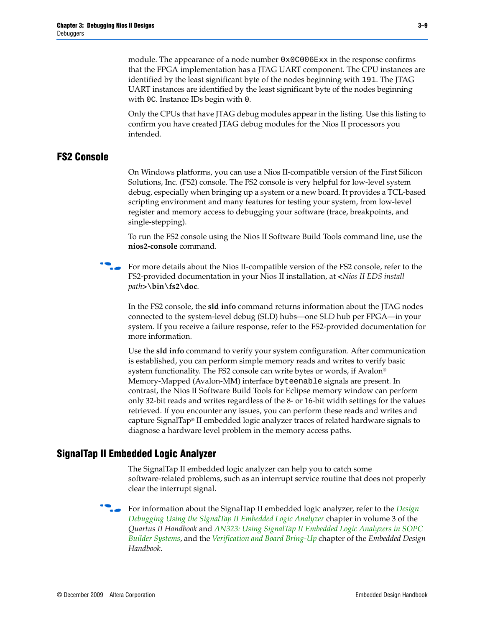module. The appearance of a node number 0x0C006Exx in the response confirms that the FPGA implementation has a JTAG UART component. The CPU instances are identified by the least significant byte of the nodes beginning with 191. The JTAG UART instances are identified by the least significant byte of the nodes beginning with 0C. Instance IDs begin with 0.

Only the CPUs that have JTAG debug modules appear in the listing. Use this listing to confirm you have created JTAG debug modules for the Nios II processors you intended.

### <span id="page-8-0"></span>**FS2 Console**

On Windows platforms, you can use a Nios II-compatible version of the First Silicon Solutions, Inc. (FS2) console. The FS2 console is very helpful for low-level system debug, especially when bringing up a system or a new board. It provides a TCL-based scripting environment and many features for testing your system, from low-level register and memory access to debugging your software (trace, breakpoints, and single-stepping).

To run the FS2 console using the Nios II Software Build Tools command line, use the **nios2-console** command.

For more details about the Nios II-compatible version of the FS2 console, refer to the FS2-provided documentation in your Nios II installation, at **<***Nios II EDS install path***>\bin\fs2\doc**.

In the FS2 console, the **sld info** command returns information about the JTAG nodes connected to the system-level debug (SLD) hubs—one SLD hub per FPGA—in your system. If you receive a failure response, refer to the FS2-provided documentation for more information.

Use the **sld info** command to verify your system configuration. After communication is established, you can perform simple memory reads and writes to verify basic system functionality. The FS2 console can write bytes or words, if Avalon® Memory-Mapped (Avalon-MM) interface byteenable signals are present. In contrast, the Nios II Software Build Tools for Eclipse memory window can perform only 32-bit reads and writes regardless of the 8- or 16-bit width settings for the values retrieved. If you encounter any issues, you can perform these reads and writes and capture SignalTap® II embedded logic analyzer traces of related hardware signals to diagnose a hardware level problem in the memory access paths.

### <span id="page-8-1"></span>**SignalTap II Embedded Logic Analyzer**

The SignalTap II embedded logic analyzer can help you to catch some software-related problems, such as an interrupt service routine that does not properly clear the interrupt signal.

**f** For information about the SignalTap II embedded logic analyzer, refer to the *Design [Debugging Using the SignalTap II Embedded Logic Analyzer](http://www.altera.com/literature/hb/qts/qts_qii53009.pdf)* chapter in volume 3 of the *Quartus II Handbook* and *[AN323: Using SignalTap II Embedded Logic Analyzers in SOPC](http://www.altera.com/literature/an/an323.pdf)  [Builder Systems](http://www.altera.com/literature/an/an323.pdf)*, and the *[Verification and Board Bring-Up](http://www.altera.com/literature/hb/nios2/edh_ed51010.pdf)* chapter of the *Embedded Design Handbook*.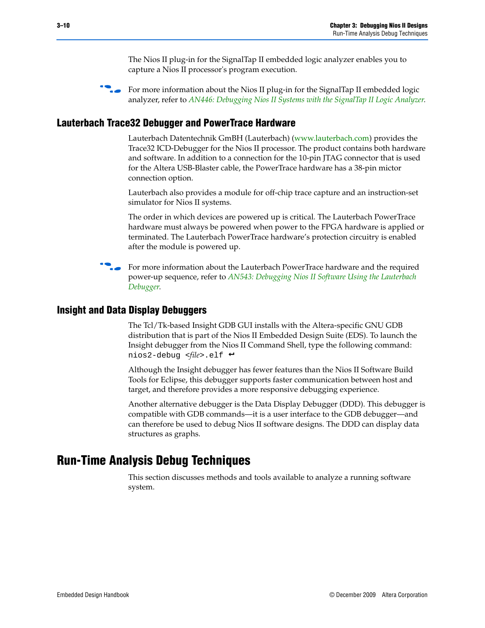The Nios II plug-in for the SignalTap II embedded logic analyzer enables you to capture a Nios II processor's program execution.

**For more information about the Nios II plug-in for the SignalTap II embedded logic** analyzer, refer to *[AN446: Debugging Nios II Systems with the SignalTap II Logic Analyzer](http://www.altera.com/literature/an/an446.pdf)*.

### <span id="page-9-1"></span>**Lauterbach Trace32 Debugger and PowerTrace Hardware**

Lauterbach Datentechnik GmBH (Lauterbach) ([www.lauterbach.com](http://www.lauterbach.com)) provides the Trace32 ICD-Debugger for the Nios II processor. The product contains both hardware and software. In addition to a connection for the 10-pin JTAG connector that is used for the Altera USB-Blaster cable, the PowerTrace hardware has a 38-pin mictor connection option.

Lauterbach also provides a module for off-chip trace capture and an instruction-set simulator for Nios II systems.

The order in which devices are powered up is critical. The Lauterbach PowerTrace hardware must always be powered when power to the FPGA hardware is applied or terminated. The Lauterbach PowerTrace hardware's protection circuitry is enabled after the module is powered up.

For more information about the Lauterbach PowerTrace hardware and the required power-up sequence, refer to *[AN543: Debugging Nios II Software Using the Lauterbach](http://www.altera.com/literature/an/AN543.pdf)  [Debugger](http://www.altera.com/literature/an/AN543.pdf)*.

### <span id="page-9-2"></span>**Insight and Data Display Debuggers**

The Tcl/Tk-based Insight GDB GUI installs with the Altera-specific GNU GDB distribution that is part of the Nios II Embedded Design Suite (EDS). To launch the Insight debugger from the Nios II Command Shell, type the following command: nios2-debug <*file*>.elf r

Although the Insight debugger has fewer features than the Nios II Software Build Tools for Eclipse, this debugger supports faster communication between host and target, and therefore provides a more responsive debugging experience.

Another alternative debugger is the Data Display Debugger (DDD). This debugger is compatible with GDB commands—it is a user interface to the GDB debugger—and can therefore be used to debug Nios II software designs. The DDD can display data structures as graphs.

# <span id="page-9-0"></span>**Run-Time Analysis Debug Techniques**

This section discusses methods and tools available to analyze a running software system.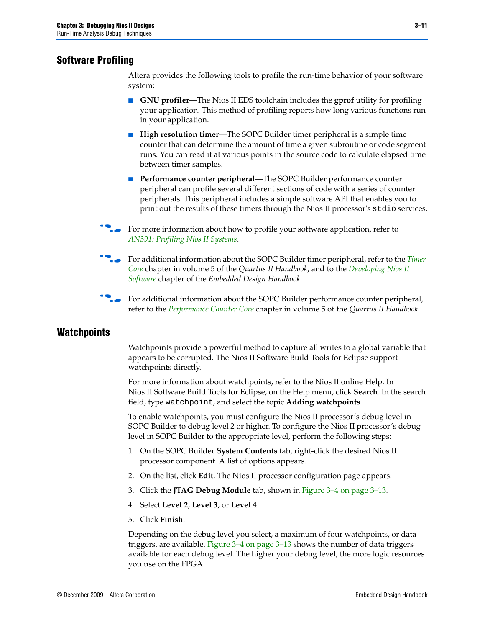### **Software Profiling**

Altera provides the following tools to profile the run-time behavior of your software system:

- **GNU profiler**—The Nios II EDS toolchain includes the **gprof** utility for profiling your application. This method of profiling reports how long various functions run in your application.
- **High resolution timer**—The SOPC Builder timer peripheral is a simple time counter that can determine the amount of time a given subroutine or code segment runs. You can read it at various points in the source code to calculate elapsed time between timer samples.
- **Performance counter peripheral—The SOPC Builder performance counter** peripheral can profile several different sections of code with a series of counter peripherals. This peripheral includes a simple software API that enables you to print out the results of these timers through the Nios II processor's stdio services.

For more information about how to profile your software application, refer to *[AN391: Profiling Nios II Systems](http://www.altera.com/literature/an/an391.pdf)*.

- f For additional information about the SOPC Builder timer peripheral, refer to the *[Timer](http://www.altera.com/literature/hb/nios2/n2cpu_nii51008.pdf)  [Core](http://www.altera.com/literature/hb/nios2/n2cpu_nii51008.pdf)* chapter in volume 5 of the *Quartus II Handbook*, and to the *[Developing Nios II](http://www.altera.com/literature/hb/nios2/edh_ed51002.pdf)  [Software](http://www.altera.com/literature/hb/nios2/edh_ed51002.pdf)* chapter of the *Embedded Design Handbook*.
- For additional information about the SOPC Builder performance counter peripheral, refer to the *[Performance Counter Core](http://www.altera.com/literature/hb/nios2/qts_qii55001.pdf)* chapter in volume 5 of the *Quartus II Handbook*.

### **Watchpoints**

Watchpoints provide a powerful method to capture all writes to a global variable that appears to be corrupted. The Nios II Software Build Tools for Eclipse support watchpoints directly.

For more information about watchpoints, refer to the Nios II online Help. In Nios II Software Build Tools for Eclipse, on the Help menu, click **Search**. In the search field, type watchpoint, and select the topic **Adding watchpoints**.

To enable watchpoints, you must configure the Nios II processor's debug level in SOPC Builder to debug level 2 or higher. To configure the Nios II processor's debug level in SOPC Builder to the appropriate level, perform the following steps:

- 1. On the SOPC Builder **System Contents** tab, right-click the desired Nios II processor component. A list of options appears.
- 2. On the list, click **Edit**. The Nios II processor configuration page appears.
- 3. Click the **JTAG Debug Module** tab, shown in [Figure 3–4 on page 3–13.](#page-12-0)
- 4. Select **Level 2**, **Level 3**, or **Level 4**.
- 5. Click **Finish**.

Depending on the debug level you select, a maximum of four watchpoints, or data triggers, are available. [Figure 3–4 on page 3–13](#page-12-0) shows the number of data triggers available for each debug level. The higher your debug level, the more logic resources you use on the FPGA.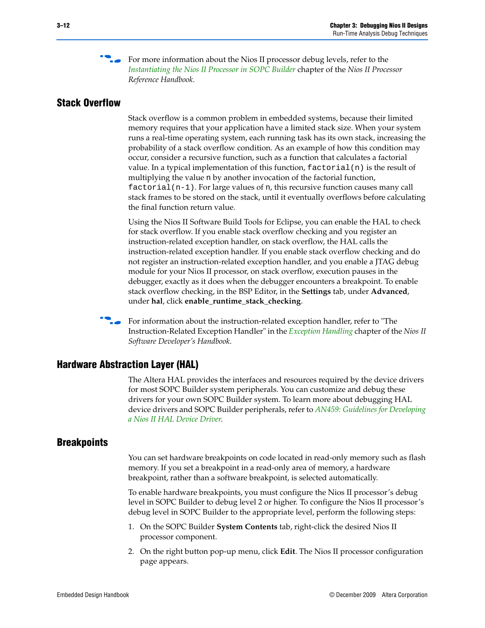For more information about the Nios II processor debug levels, refer to the *[Instantiating the Nios II Processor in SOPC Builder](http://www.altera.com/literature/hb/nios2/n2cpu_nii51004.pdf)* chapter of the *Nios II Processor Reference Handbook*.

### **Stack Overflow**

Stack overflow is a common problem in embedded systems, because their limited memory requires that your application have a limited stack size. When your system runs a real-time operating system, each running task has its own stack, increasing the probability of a stack overflow condition. As an example of how this condition may occur, consider a recursive function, such as a function that calculates a factorial value. In a typical implementation of this function, factorial(n) is the result of multiplying the value n by another invocation of the factorial function, factorial(n-1). For large values of n, this recursive function causes many call stack frames to be stored on the stack, until it eventually overflows before calculating the final function return value.

Using the Nios II Software Build Tools for Eclipse, you can enable the HAL to check for stack overflow. If you enable stack overflow checking and you register an instruction-related exception handler, on stack overflow, the HAL calls the instruction-related exception handler. If you enable stack overflow checking and do not register an instruction-related exception handler, and you enable a JTAG debug module for your Nios II processor, on stack overflow, execution pauses in the debugger, exactly as it does when the debugger encounters a breakpoint. To enable stack overflow checking, in the BSP Editor, in the **Settings** tab, under **Advanced**, under **hal**, click **enable\_runtime\_stack\_checking**.

For information about the instruction-related exception handler, refer to "The Instruction-Related Exception Handler" in the *[Exception Handling](http://www.altera.com/literature/hb/nios2/n2sw_nii52006.pdf)* chapter of the *Nios II Software Developer's Handbook*.

### **Hardware Abstraction Layer (HAL)**

The Altera HAL provides the interfaces and resources required by the device drivers for most SOPC Builder system peripherals. You can customize and debug these drivers for your own SOPC Builder system. To learn more about debugging HAL device drivers and SOPC Builder peripherals, refer to *[AN459: Guidelines for Developing](http://www.altera.com/literature/an/an459.pdf)  [a Nios II HAL Device Driver](http://www.altera.com/literature/an/an459.pdf)*.

### **Breakpoints**

You can set hardware breakpoints on code located in read-only memory such as flash memory. If you set a breakpoint in a read-only area of memory, a hardware breakpoint, rather than a software breakpoint, is selected automatically.

To enable hardware breakpoints, you must configure the Nios II processor's debug level in SOPC Builder to debug level 2 or higher. To configure the Nios II processor's debug level in SOPC Builder to the appropriate level, perform the following steps:

- 1. On the SOPC Builder **System Contents** tab, right-click the desired Nios II processor component.
- 2. On the right button pop-up menu, click **Edit**. The Nios II processor configuration page appears.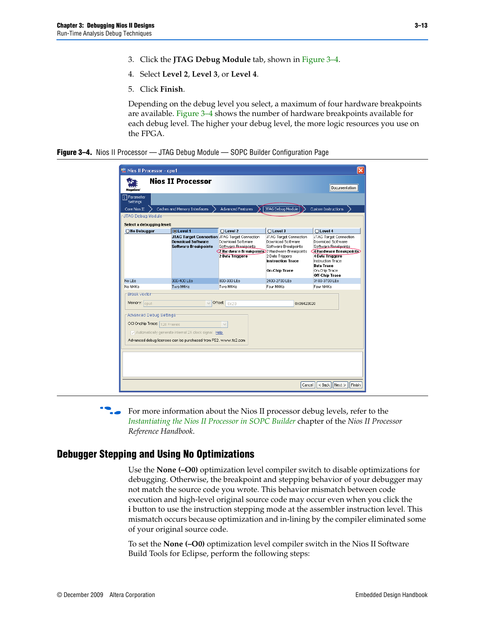- 3. Click the **JTAG Debug Module** tab, shown in [Figure 3–4](#page-12-0).
- 4. Select **Level 2**, **Level 3**, or **Level 4**.
- 5. Click **Finish**.

Depending on the debug level you select, a maximum of four hardware breakpoints are available. [Figure 3–4](#page-12-0) shows the number of hardware breakpoints available for each debug level. The higher your debug level, the more logic resources you use on the FPGA.

<span id="page-12-0"></span>**Figure 3–4.** Nios II Processor — JTAG Debug Module — SOPC Builder Configuration Page

| In Nios II Processor - cpu1                                    |                                                                                                          |                                                                                                               |                                                                                                                                     |                                                                                                                                                                                               |  |  |
|----------------------------------------------------------------|----------------------------------------------------------------------------------------------------------|---------------------------------------------------------------------------------------------------------------|-------------------------------------------------------------------------------------------------------------------------------------|-----------------------------------------------------------------------------------------------------------------------------------------------------------------------------------------------|--|--|
| <b>RegaCore</b>                                                | <b>Nios II Processor</b>                                                                                 |                                                                                                               |                                                                                                                                     | Documentation                                                                                                                                                                                 |  |  |
| $\overline{1}$ Parameter<br>Settings                           |                                                                                                          |                                                                                                               |                                                                                                                                     |                                                                                                                                                                                               |  |  |
| Core Nios II                                                   | Caches and Memory Interfaces                                                                             | Advanced Features                                                                                             | JTAG Debug Module                                                                                                                   | <b>Custom Instructions</b>                                                                                                                                                                    |  |  |
| JTAG Debua Module                                              |                                                                                                          |                                                                                                               |                                                                                                                                     |                                                                                                                                                                                               |  |  |
| Select a debugging level:                                      |                                                                                                          |                                                                                                               |                                                                                                                                     |                                                                                                                                                                                               |  |  |
| ◯ No Debugger                                                  | $\bigcirc$ Level 1                                                                                       | O Level 2                                                                                                     | $O$ Level 3                                                                                                                         | $O$ Level 4                                                                                                                                                                                   |  |  |
|                                                                | JTAG Target Connection JTAG Target Connection<br><b>Download Software</b><br><b>Software Breakpoints</b> | Download Software<br>Software Breakpoints<br>2 Hardware Breakpoints 2 Hardware Breakpoints<br>2 Data Triggers | JTAG Target Connection<br>Download Software<br>Software Breakpoints<br>2 Data Triggers<br><b>Instruction Trace</b><br>On-Chip Trace | JTAG Target Connection<br>Download Software<br>Software Breakpoints<br>4 Hardware Breakpoints<br>4 Data Triggers<br><b>Instruction Trace</b><br>Data Trace<br>On-Chip Trace<br>Off-Chip Trace |  |  |
| No LEs                                                         | 300-400 LEs                                                                                              | 800-900 LEs                                                                                                   | 2400-2700 LEs                                                                                                                       | 3100-3700 LEs                                                                                                                                                                                 |  |  |
| No M4Ks                                                        | Two M4Ks                                                                                                 | Two M4Ks                                                                                                      | Four M4Ks                                                                                                                           | Four M4Ks                                                                                                                                                                                     |  |  |
| <b>Break Vector</b>                                            |                                                                                                          |                                                                                                               |                                                                                                                                     |                                                                                                                                                                                               |  |  |
| Memory: cpu1                                                   | $\sim$                                                                                                   | Offset:<br>0x20                                                                                               | 0x06423020                                                                                                                          |                                                                                                                                                                                               |  |  |
| Advanced Debug Settings                                        |                                                                                                          |                                                                                                               |                                                                                                                                     |                                                                                                                                                                                               |  |  |
| OCI Onchip Trace: 128 Frames                                   |                                                                                                          |                                                                                                               |                                                                                                                                     |                                                                                                                                                                                               |  |  |
|                                                                | Automatically generate internal 2X clock signal Help                                                     |                                                                                                               |                                                                                                                                     |                                                                                                                                                                                               |  |  |
| Advanced debug licenses can be purchased from FS2. www.fs2.com |                                                                                                          |                                                                                                               |                                                                                                                                     |                                                                                                                                                                                               |  |  |
|                                                                |                                                                                                          |                                                                                                               |                                                                                                                                     |                                                                                                                                                                                               |  |  |
|                                                                |                                                                                                          |                                                                                                               |                                                                                                                                     |                                                                                                                                                                                               |  |  |
|                                                                |                                                                                                          |                                                                                                               |                                                                                                                                     |                                                                                                                                                                                               |  |  |
|                                                                |                                                                                                          |                                                                                                               |                                                                                                                                     |                                                                                                                                                                                               |  |  |
|                                                                |                                                                                                          |                                                                                                               |                                                                                                                                     |                                                                                                                                                                                               |  |  |
| $<$ Back<br>Cancel<br>Next<br>Finish                           |                                                                                                          |                                                                                                               |                                                                                                                                     |                                                                                                                                                                                               |  |  |

For more information about the Nios II processor debug levels, refer to the *[Instantiating the Nios II Processor in SOPC Builder](http://www.altera.com/literature/hb/nios2/n2cpu_nii51004.pdf)* chapter of the *Nios II Processor Reference Handbook*.

### **Debugger Stepping and Using No Optimizations**

Use the **None (–O0)** optimization level compiler switch to disable optimizations for debugging. Otherwise, the breakpoint and stepping behavior of your debugger may not match the source code you wrote. This behavior mismatch between code execution and high-level original source code may occur even when you click the **i** button to use the instruction stepping mode at the assembler instruction level. This mismatch occurs because optimization and in-lining by the compiler eliminated some of your original source code.

To set the **None (–O0)** optimization level compiler switch in the Nios II Software Build Tools for Eclipse, perform the following steps: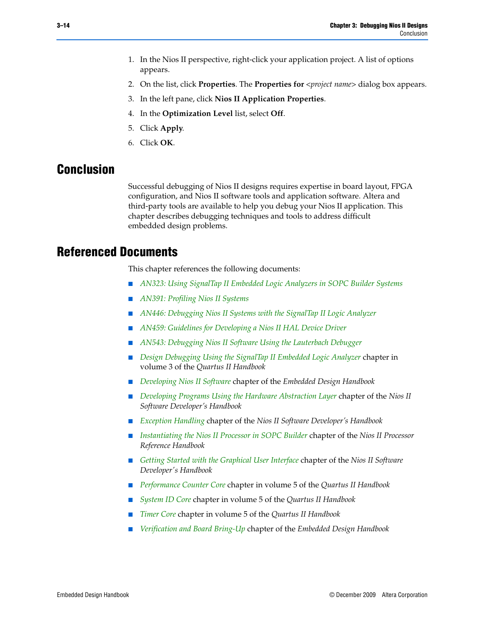- 1. In the Nios II perspective, right-click your application project. A list of options appears.
- 2. On the list, click **Properties**. The **Properties for** <*project name*> dialog box appears.
- 3. In the left pane, click **Nios II Application Properties**.
- 4. In the **Optimization Level** list, select **Off**.
- 5. Click **Apply**.
- 6. Click **OK**.

## **Conclusion**

Successful debugging of Nios II designs requires expertise in board layout, FPGA configuration, and Nios II software tools and application software. Altera and third-party tools are available to help you debug your Nios II application. This chapter describes debugging techniques and tools to address difficult embedded design problems.

# **Referenced Documents**

This chapter references the following documents:

- *[AN323: Using SignalTap II Embedded Logic Analyzers in SOPC Builder Systems](http://www.altera.com/literature/an/an323.pdf)*
- *[AN391: Profiling Nios II Systems](http://www.altera.com/literature/an/an391.pdf)*
- *[AN446: Debugging Nios II Systems with the SignalTap II Logic Analyzer](http://www.altera.com/literature/an/an446.pdf)*
- *[AN459: Guidelines for Developing a Nios II HAL Device Driver](http://www.altera.com/literature/an/an459.pdf)*
- *[AN543: Debugging Nios II Software Using the Lauterbach Debugger](http://www.altera.com/literature/an/AN543.pdf)*
- *[Design Debugging Using the SignalTap II Embedded Logic Analyzer](http://www.altera.com/literature/hb/qts/qts_qii53009.pdf) chapter in* volume 3 of the *Quartus II Handbook*
- *[Developing Nios II Software](http://www.altera.com/literature/hb/nios2/edh_ed51002.pdf)* chapter of the *Embedded Design Handbook*
- *[Developing Programs Using the Hardware Abstraction Layer](http://www.altera.com/literature/hb/nios2/n2sw_nii52004.pdf) chapter of the Nios II Software Developer's Handbook*
- *[Exception Handling](http://www.altera.com/literature/hb/nios2/n2sw_nii52006.pdf)* chapter of the *Nios II Software Developer's Handbook*
- *[Instantiating the Nios II Processor in SOPC Builder](http://www.altera.com/literature/hb/nios2/n2cpu_nii51004.pdf) chapter of the Nios II Processor Reference Handbook*
- *[Getting Started with the Graphical User Interface](http://www.altera.com/literature/hb/nios2/n2sw_nii52017.pdf) chapter of the Nios II Software Developer's Handbook*
- *[Performance Counter Core](http://www.altera.com/literature/hb/nios2/qts_qii55001.pdf)* chapter in volume 5 of the *Quartus II Handbook*
- *[System ID Core](http://www.altera.com/literature/hb/nios2/n2cpu_nii51014.pdf)* chapter in volume 5 of the *Quartus II Handbook*
- *[Timer Core](http://www.altera.com/literature/hb/nios2/n2cpu_nii51008.pdf)* chapter in volume 5 of the *Quartus II Handbook*
- *[Verification and Board Bring-Up](http://www.altera.com/literature/hb/nios2/edh_ed51010.pdf)* chapter of the *Embedded Design Handbook*